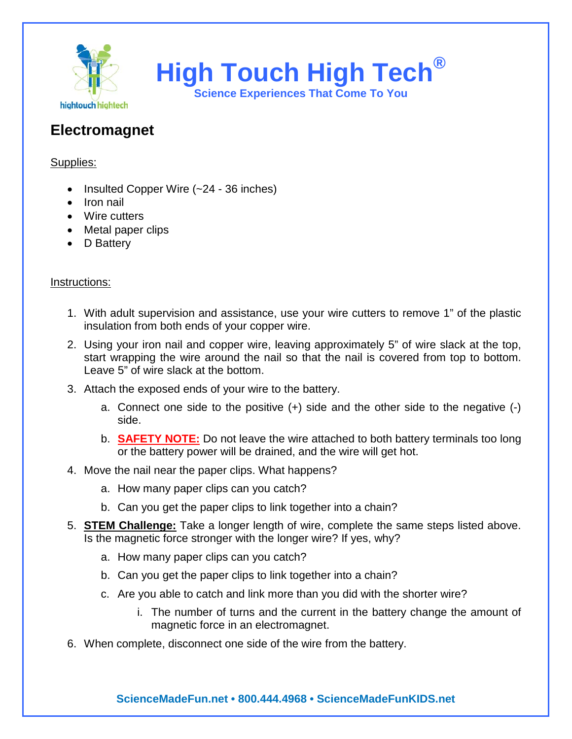

**High Touch High Tech® Science Experiences That Come To You**

## **Electromagnet**

## Supplies:

- Insulted Copper Wire (~24 36 inches)
- Iron nail
- Wire cutters
- Metal paper clips
- D Battery

## Instructions:

- 1. With adult supervision and assistance, use your wire cutters to remove 1" of the plastic insulation from both ends of your copper wire.
- 2. Using your iron nail and copper wire, leaving approximately 5" of wire slack at the top, start wrapping the wire around the nail so that the nail is covered from top to bottom. Leave 5" of wire slack at the bottom.
- 3. Attach the exposed ends of your wire to the battery.
	- a. Connect one side to the positive (+) side and the other side to the negative (-) side.
	- b. **SAFETY NOTE:** Do not leave the wire attached to both battery terminals too long or the battery power will be drained, and the wire will get hot.
- 4. Move the nail near the paper clips. What happens?
	- a. How many paper clips can you catch?
	- b. Can you get the paper clips to link together into a chain?
- 5. **STEM Challenge:** Take a longer length of wire, complete the same steps listed above. Is the magnetic force stronger with the longer wire? If yes, why?
	- a. How many paper clips can you catch?
	- b. Can you get the paper clips to link together into a chain?
	- c. Are you able to catch and link more than you did with the shorter wire?
		- i. The number of turns and the current in the battery change the amount of magnetic force in an electromagnet.
- 6. When complete, disconnect one side of the wire from the battery.